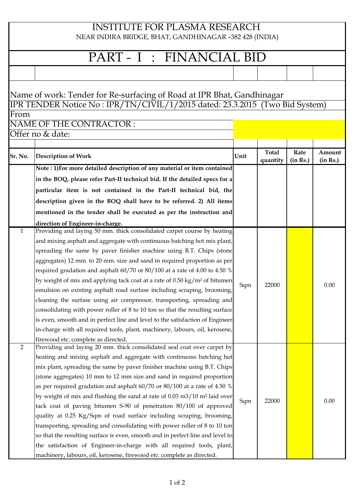## INSTITUTE FOR PLASMA RESEARCH

NEAR INDIRA BRIDGE, BHAT, GANDHINAGAR –382 428 (INDIA)

## PART - I : FINANCIAL BID

## **Sr. No.** Description of Work **CONSERVING CONSERVING CONSERVANCE CONSERVANCE CONSERVANCE CONSERVANCE CONSERVANCE CONSERVANCE CONSERVANCE CONSERVANCE CONSERVANCE CONSERVANCE CONSERVANCE CONSERVANCE CONSERVANCE CONSERVANCE C quantity Rate (in Rs.) Amount (in Rs.) Note : 1)For more detailed description of any material or item contained in the BOQ, please refer Part-II technical bid. If the detailed specs for a particular item is not contained in the Part-II technical bid, the description given in the BOQ shall have to be referred. 2) All items mentioned in the tender shall be executed as per the instruction and direction of Engineer-in-charge.** 1 Providing and laying 50 mm. thick consolidated carpet course by heating and mixing asphalt and aggregate with continuous batching hot mix plant, spreading the same by paver finisher machine using B.T. Chips (stone aggregates) 12 mm. to 20 mm. size and sand in required proportion as per required gradation and asphalt 60/70 or 80/100 at a rate of 4.00 to 4.50 % by weight of mix and applying tack coat at a rate of 0.50 kg/m² of bitumen emulsion on existing asphalt road surfase including scraping, brooming, cleaning the surfase using air compressor, transporting, spreading and consolidating with power roller of 8 to 10 ton so that the resulting surface is even, smooth and in perfect line and level to the satisfaction of Engineerin-charge with all required tools, plant, machinery, labours, oil, kerosene, firewood etc. complete as directed.  $Sgm$  22000 0.00 2 Providing and laying 20 mm. thick consolidated seal coat over carpet by heating and mixing asphalt and aggregate with continuous batching hot mix plant, spreading the same by paver finisher machine using B.T. Chips (stone aggregates) 10 mm to 12 mm size and sand in required proportion as per required gradation and asphalt 60/70 or 80/100 at a rate of 4.50 % by weight of mix and flushing the sand at rate of 0.03 m3/10 m² laid over tack coat of paving bitumen S-90 of penetration 80/100 of approved quality at 0.25 Kg/Sqm of road surface including scraping, brooming, transporting, spreading and consolidating with power roller of 8 to 10 ton so that the resulting surface is even, smooth and in perfect line and level to the satisfaction of Engineer-in-charge with all required tools, plant, machinery, labours, oil, kerosene, firewood etc. complete as directed.  $Sgm$  22000 0.00 From NAME OF THE CONTRACTOR : Offer no & date: Name of work: Tender for Re-surfacing of Road at IPR Bhat, Gandhinagar IPR TENDER Notice No : IPR/TN/CIVIL/1/2015 dated: 23.3.2015 (Two Bid System)